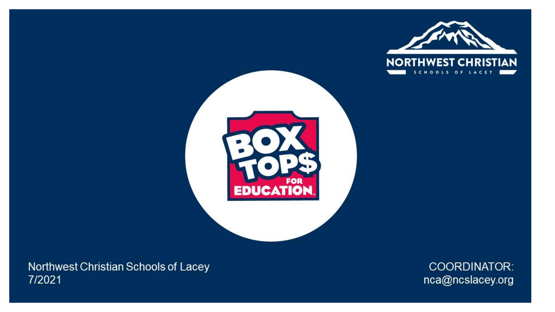



Northwest Christian Schools of Lacey 7/2021

COORDINATOR: nca@ncslacey.org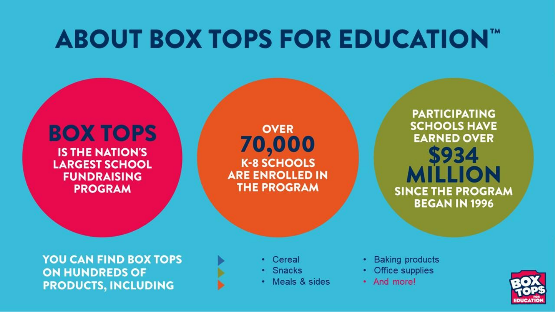## **ABOUT BOX TOPS FOR EDUCATION™**

### **BOX TOPS IS THE NATION'S LARGEST SCHOOL FUNDRAISING PROGRAM**

**OVER** 70,000 **K-8 SCHOOLS ARE ENROLLED IN THE PROGRAM** 

**YOU CAN FIND BOX TOPS ON HUNDREDS OF PRODUCTS, INCLUDING** 

• Cereal

- · Snacks
- Meals & sides
- **Baking products**
- Office supplies
- And more!



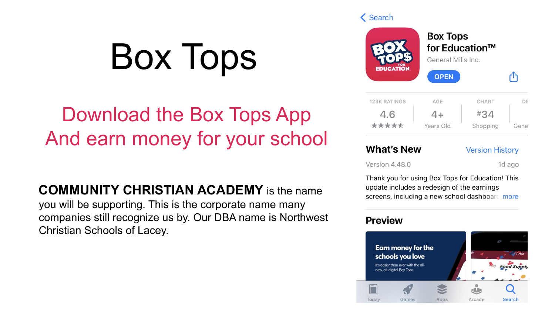# Box Tops

## Download the Box Tops App And earn money for your school

**COMMUNITY CHRISTIAN ACADEMY** is the name

you will be supporting. This is the corporate name many companies still recognize us by. Our DBA name is Northwest Christian Schools of Lacey.



### **What's New**

#### **Version History**

Version 4.48.0

1d ago

Thank you for using Box Tops for Education! This update includes a redesign of the earnings screens, including a new school dashboard more

### **Preview**

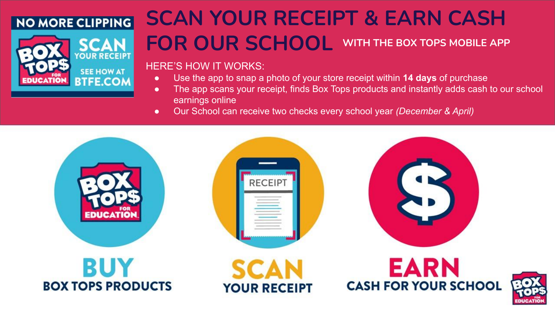### **NO MORE CLIPPING**



## **SCAN YOUR RECEIPT & EARN CASH FOR OUR SCHOOL WITH THE BOX TOPS MOBILE APP**

### HERE'S HOW IT WORKS:

- Use the app to snap a photo of your store receipt within **14 days** of purchase
- The app scans your receipt, finds Box Tops products and instantly adds cash to our school earnings online
- Our School can receive two checks every school year *(December & April)*

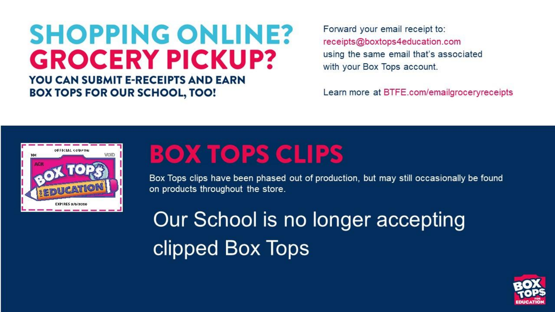## **SHOPPING ONLINE? GROCERY PICKUP?**

**YOU CAN SUBMIT E-RECEIPTS AND EARN BOX TOPS FOR OUR SCHOOL, TOO!** 

Forward your email receipt to: receipts@boxtops4education.com using the same email that's associated with your Box Tops account.

Learn more at BTFE.com/emailgroceryreceipts



## **BOX TOPS CLIPS**

Box Tops clips have been phased out of production, but may still occasionally be found on products throughout the store.

Our School is no longer accepting clipped Box Tops

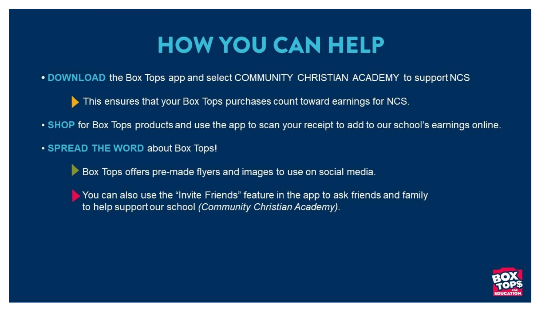## **HOW YOU CAN HELP**

. DOWNLOAD the Box Tops app and select COMMUNITY CHRISTIAN ACADEMY to support NCS

This ensures that your Box Tops purchases count toward earnings for NCS.

- SHOP for Box Tops products and use the app to scan your receipt to add to our school's earnings online.
- SPREAD THE WORD about Box Tops!

Box Tops offers pre-made flyers and images to use on social media.

 $\blacktriangleright$  You can also use the "Invite Friends" feature in the app to ask friends and family to help support our school (Community Christian Academy).

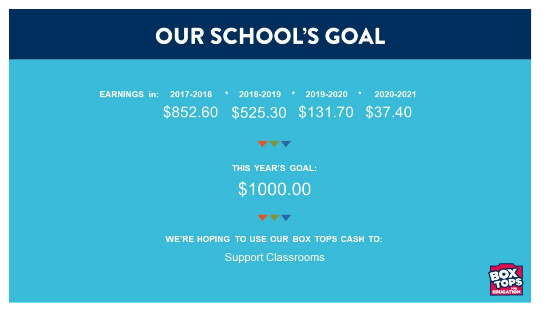## **OUR SCHOOL'S GOAL**

#### \* 2018-2019 \* 2019-2020 \* 2020-2021 **EARNINGS in: 2017-2018** \$852.60 \$525.30 \$131.70 \$37.40

 $\mathbf{v} \cdot \mathbf{v}$ 

THIS YEAR'S GOAL: \$1000.00

#### $\mathbf{v}$   $\mathbf{v}$

WE'RE HOPING TO USE OUR BOX TOPS CASH TO:

**Support Classrooms** 

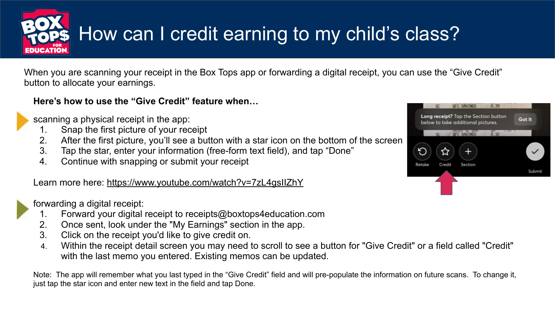

## How can I credit earning to my child's class?

When you are scanning your receipt in the Box Tops app or forwarding a digital receipt, you can use the "Give Credit" button to allocate your earnings.

### **Here's how to use the "Give Credit" feature when…**

scanning a physical receipt in the app:

- 1. Snap the first picture of your receipt
- 2. After the first picture, you'll see a button with a star icon on the bottom of the screen
- 3. Tap the star, enter your information (free-form text field), and tap "Done"
- 4. Continue with snapping or submit your receipt

Learn more here: https://www.youtube.com/watch?v=7zL4gsIIZhY



forwarding a digital receipt:

- 1. Forward your digital receipt to receipts@boxtops4education.com
- 2. Once sent, look under the "My Earnings" section in the app.
- 3. Click on the receipt you'd like to give credit on.
- 4. Within the receipt detail screen you may need to scroll to see a button for "Give Credit" or a field called "Credit" with the last memo you entered. Existing memos can be updated.

Note: The app will remember what you last typed in the "Give Credit" field and will pre-populate the information on future scans. To change it, just tap the star icon and enter new text in the field and tap Done.